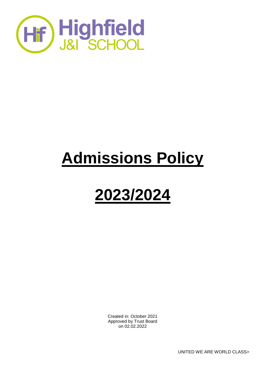

# **Admissions Policy**

# **2023/2024**

Created in: October 2021 Approved by Trust Board on 02.02.2022

UNITED WE ARE WORLD CLASS>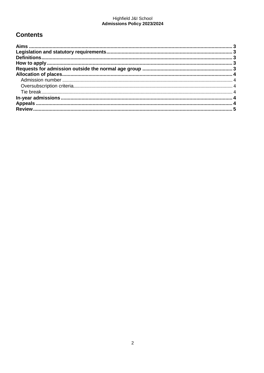# Highfield J&I School<br>Admissions Policy 2023/2024

## **Contents**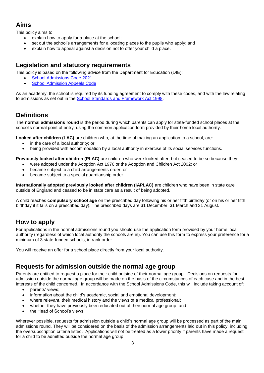#### <span id="page-2-0"></span>**Aims**

This policy aims to:

- explain how to apply for a place at the school;
- set out the school's arrangements for allocating places to the pupils who apply; and
- explain how to appeal against a decision not to offer your child a place.

#### <span id="page-2-1"></span>**Legislation and statutory requirements**

This policy is based on the following advice from the Department for Education (DfE):

- [School Admissions Code 2021](https://www.gov.uk/government/publications/school-admissions-code--2)
- **[School Admission Appeals Code](https://www.gov.uk/government/publications/school-admissions-appeals-code)**

As an academy, the school is required by its funding agreement to comply with these codes, and with the law relating to admissions as set out in the [School Standards and Framework Act 1998.](http://www.legislation.gov.uk/ukpga/1998/31/contents)

### <span id="page-2-2"></span>**Definitions**

The **normal admissions round** is the period during which parents can apply for state-funded school places at the school's normal point of entry, using the common application form provided by their home local authority.

**Looked after children (LAC)** are children who, at the time of making an application to a school, are:

- in the care of a local authority; or
- being provided with accommodation by a local authority in exercise of its social services functions.

**Previously looked after children (PLAC)** are children who were looked after, but ceased to be so because they:

- were adopted under the Adoption Act 1976 or the Adoption and Children Act 2002; or
- became subject to a child arrangements order; or
- became subject to a special guardianship order.

**Internationally adopted previously looked after children (IAPLAC)** are children who have been in state care outside of England and ceased to be in state care as a result of being adopted.

A child reaches **compulsory school age** on the prescribed day following his or her fifth birthday (or on his or her fifth birthday if it falls on a prescribed day). The prescribed days are 31 December, 31 March and 31 August.

#### <span id="page-2-3"></span>**How to apply**

For applications in the normal admissions round you should use the application form provided by your home local authority (regardless of which local authority the schools are in). You can use this form to express your preference for a minimum of 3 state-funded schools, in rank order.

You will receive an offer for a school place directly from your local authority.

#### <span id="page-2-4"></span>**Requests for admission outside the normal age group**

Parents are entitled to request a place for their child outside of their normal age group. Decisions on requests for admission outside the normal age group will be made on the basis of the circumstances of each case and in the best interests of the child concerned. In accordance with the School Admissions Code, this will include taking account of:

- parents' views;
- information about the child's academic, social and emotional development;
- where relevant, their medical history and the views of a medical professional;
- whether they have previously been educated out of their normal age group; and
- the Head of School's views.

Wherever possible, requests for admission outside a child's normal age group will be processed as part of the main admissions round. They will be considered on the basis of the admission arrangements laid out in this policy, including the oversubscription criteria listed. Applications will not be treated as a lower priority if parents have made a request for a child to be admitted outside the normal age group.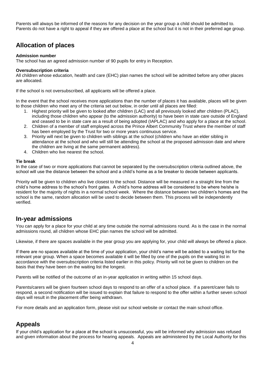Parents will always be informed of the reasons for any decision on the year group a child should be admitted to. Parents do not have a right to appeal if they are offered a place at the school but it is not in their preferred age group.

#### <span id="page-3-0"></span>**Allocation of places**

#### <span id="page-3-1"></span>**Admission number**

The school has an agreed admission number of 90 pupils for entry in Reception.

#### <span id="page-3-2"></span>**Oversubscription criteria**

All children whose education, health and care (EHC) plan names the school will be admitted before any other places are allocated.

If the school is not oversubscribed, all applicants will be offered a place.

In the event that the school receives more applications than the number of places it has available, places will be given to those children who meet any of the criteria set out below, in order until all places are filled:

- 1. Highest priority will be given to looked after children (LAC) and all previously looked after children (PLAC), including those children who appear (to the admission authority) to have been in state care outside of England and ceased to be in state care as a result of being adopted (IAPLAC) and who apply for a place at the school.
- 2. Children of a member of staff employed across the Prince Albert Community Trust where the member of staff has been employed by the Trust for two or more years continuous service.
- 3. Priority will next be given to children with siblings at the school (children who have an elder sibling in attendance at the school and who will still be attending the school at the proposed admission date and where the children are living at the same permanent address).
- 4. Children who live nearest the school.

#### <span id="page-3-3"></span>**Tie break**

In the case of two or more applications that cannot be separated by the oversubscription criteria outlined above, the school will use the distance between the school and a child's home as a tie breaker to decide between applicants.

Priority will be given to children who live closest to the school. Distance will be measured in a straight line from the child's home address to the school's front gates. A child's home address will be considered to be where he/she is resident for the majority of nights in a normal school week. Where the distance between two children's homes and the school is the same, random allocation will be used to decide between them. This process will be independently verified.

#### <span id="page-3-4"></span>**In-year admissions**

You can apply for a place for your child at any time outside the normal admissions round. As is the case in the normal admissions round, all children whose EHC plan names the school will be admitted.

Likewise, if there are spaces available in the year group you are applying for, your child will always be offered a place.

If there are no spaces available at the time of your application, your child's name will be added to a waiting list for the relevant year group. When a space becomes available it will be filled by one of the pupils on the waiting list in accordance with the oversubscription criteria listed earlier in this policy. Priority will not be given to children on the basis that they have been on the waiting list the longest.

Parents will be notified of the outcome of an in-year application in writing within 15 school days.

Parents/carers will be given fourteen school days to respond to an offer of a school place. If a parent/carer fails to respond, a second notification will be issued to explain that failure to respond to the offer within a further seven school days will result in the placement offer being withdrawn.

For more details and an application form, please visit our school website or contact the main school office.

### <span id="page-3-5"></span>**Appeals**

If your child's application for a place at the school is unsuccessful, you will be informed why admission was refused and given information about the process for hearing appeals. Appeals are administered by the Local Authority for this